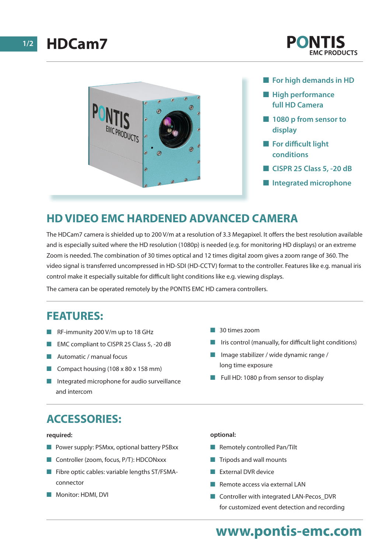



- **n** For high demands in HD
- $\blacksquare$  **High performance full HD Camera**
- **n** 1080 p from sensor to **display**
- **n** For difficult light **conditions**
- **n CISPR 25 Class 5, -20 dB**
- $\blacksquare$  Integrated microphone

## **HD VIDEO EMC HARDENED ADVANCED CAMERA**

The HDCam7 camera is shielded up to 200 V/m at a resolution of 3.3 Megapixel. It offers the best resolution available and is especially suited where the HD resolution (1080p) is needed (e.g. for monitoring HD displays) or an extreme Zoom is needed. The combination of 30 times optical and 12 times digital zoom gives a zoom range of 360. The video signal is transferred uncompressed in HD-SDI (HD-CCTV) format to the controller. Features like e.g. manual iris control make it especially suitable for difficult light conditions like e.g. viewing displays.

The camera can be operated remotely by the PONTIS EMC HD camera controllers.

### **FEATURES:**

- $R$ F-immunity 200 V/m up to 18 GHz
- EMC compliant to CISPR 25 Class 5, -20 dB
- $\blacksquare$  Automatic / manual focus
- Compact housing (108 x 80 x 158 mm)
- $\blacksquare$  Integrated microphone for audio surveillance and intercom
- **n** 30 times zoom
- Iris control (manually, for difficult light conditions)
- Image stabilizer / wide dynamic range / long time exposure
- Full HD: 1080 p from sensor to display

# **ACCESSORIES:**

#### **required:**

- Power supply: PSMxx, optional battery PSBxx
- Controller (zoom, focus,  $P/T$ ): HDCONxxx
- $\blacksquare$  Fibre optic cables: variable lengths ST/FSMAconnector
- **Nonitor: HDMI, DVI**

#### **optional:**

- $\blacksquare$  Remotely controlled Pan/Tilt
- $\blacksquare$  Tripods and wall mounts
- **n** External DVR device
- $\blacksquare$  Remote access via external LAN
- Controller with integrated LAN-Pecos\_DVR for customized event detection and recording

# **www.pontis-emc.com**